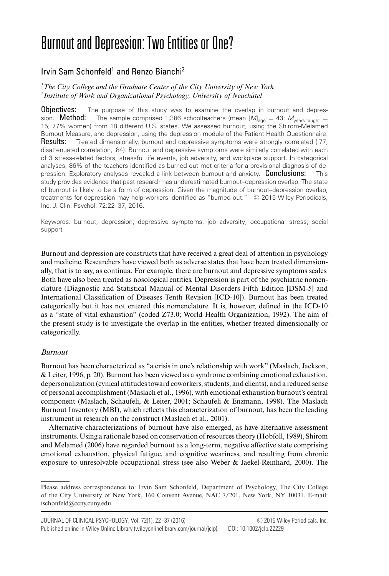# Burnout and Depression: Two Entities or One?

# Irvin Sam Schonfeld<sup>1</sup> and Renzo Bianchi<sup>2</sup>

*1The City College and the Graduate Center of the City University of New York* <sup>2</sup>Institute of Work and Organizational Psychology, University of Neuchâtel

**Objectives:** The purpose of this study was to examine the overlap in burnout and depression. **Method:** The sample comprised 1,386 schoolteachers (mean [M]<sub>age</sub> = 43;  $M_{\text{years taught}}$  = 15; 77% women) from 18 different U.S. states. We assessed burnout, using the Shirom-Melamed Burnout Measure, and depression, using the depression module of the Patient Health Questionnaire. Results: Treated dimensionally, burnout and depressive symptoms were strongly correlated (.77; disattenuated correlation, .84). Burnout and depressive symptoms were similarly correlated with each of 3 stress-related factors, stressful life events, job adversity, and workplace support. In categorical analyses, 86% of the teachers identified as burned out met criteria for a provisional diagnosis of depression. Exploratory analyses revealed a link between burnout and anxiety. Conclusions: This study provides evidence that past research has underestimated burnout–depression overlap. The state of burnout is likely to be a form of depression. Given the magnitude of burnout–depression overlap, treatments for depression may help workers identified as "burned out." © 2015 Wiley Periodicals, Inc. J. Clin. Psychol. 72:22–37, 2016.

Keywords: burnout; depression; depressive symptoms; job adversity; occupational stress; social support

Burnout and depression are constructs that have received a great deal of attention in psychology and medicine. Researchers have viewed both as adverse states that have been treated dimensionally, that is to say, as continua. For example, there are burnout and depressive symptoms scales. Both have also been treated as nosological entities. Depression is part of the psychiatric nomenclature (Diagnostic and Statistical Manual of Mental Disorders Fifth Edition [DSM-5] and International Classification of Diseases Tenth Revision [ICD-10]). Burnout has been treated categorically but it has not entered this nomenclature. It is, however, defined in the ICD-10 as a "state of vital exhaustion" (coded Z73.0; World Health Organization, 1992). The aim of the present study is to investigate the overlap in the entities, whether treated dimensionally or categorically.

## *Burnout*

Burnout has been characterized as "a crisis in one's relationship with work" (Maslach, Jackson, & Leiter, 1996, p. 20). Burnout has been viewed as a syndrome combining emotional exhaustion, depersonalization (cynical attitudes toward coworkers, students, and clients), and a reduced sense of personal accomplishment (Maslach et al., 1996), with emotional exhaustion burnout's central component (Maslach, Schaufeli, & Leiter, 2001; Schaufeli & Enzmann, 1998). The Maslach Burnout Inventory (MBI), which reflects this characterization of burnout, has been the leading instrument in research on the construct (Maslach et al., 2001).

Alternative characterizations of burnout have also emerged, as have alternative assessment instruments. Using a rationale based on conservation of resources theory (Hobfoll, 1989), Shirom and Melamed (2006) have regarded burnout as a long-term, negative affective state comprising emotional exhaustion, physical fatigue, and cognitive weariness, and resulting from chronic exposure to unresolvable occupational stress (see also Weber & Jaekel-Reinhard, 2000). The

Please address correspondence to: Irvin Sam Schonfeld, Department of Psychology, The City College of the City University of New York, 160 Convent Avenue, NAC 7/201, New York, NY 10031. E-mail: ischonfeld@ccny.cuny.edu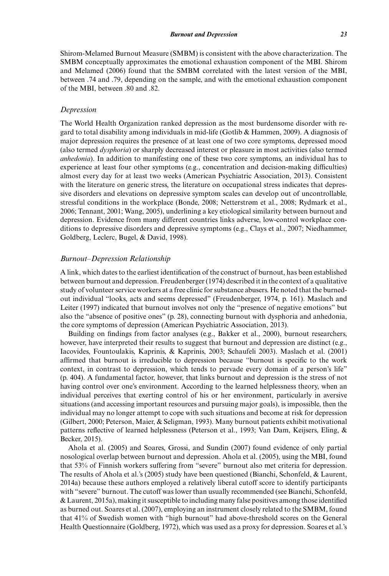Shirom-Melamed Burnout Measure (SMBM) is consistent with the above characterization. The SMBM conceptually approximates the emotional exhaustion component of the MBI. Shirom and Melamed (2006) found that the SMBM correlated with the latest version of the MBI, between .74 and .79, depending on the sample, and with the emotional exhaustion component of the MBI, between .80 and .82.

#### *Depression*

The World Health Organization ranked depression as the most burdensome disorder with regard to total disability among individuals in mid-life (Gotlib & Hammen, 2009). A diagnosis of major depression requires the presence of at least one of two core symptoms, depressed mood (also termed *dysphoria*) or sharply decreased interest or pleasure in most activities (also termed *anhedonia*). In addition to manifesting one of these two core symptoms, an individual has to experience at least four other symptoms (e.g., concentration and decision-making difficulties) almost every day for at least two weeks (American Psychiatric Association, 2013). Consistent with the literature on generic stress, the literature on occupational stress indicates that depressive disorders and elevations on depressive symptom scales can develop out of uncontrollable, stressful conditions in the workplace (Bonde, 2008; Netterstrøm et al., 2008; Rydmark et al., 2006; Tennant, 2001; Wang, 2005), underlining a key etiological similarity between burnout and depression. Evidence from many different countries links adverse, low-control workplace conditions to depressive disorders and depressive symptoms (e.g., Clays et al., 2007; Niedhammer, Goldberg, Leclerc, Bugel, & David, 1998).

#### *Burnout–Depression Relationship*

A link, which dates to the earliest identification of the construct of burnout, has been established between burnout and depression. Freudenberger (1974) described it in the context of a qualitative study of volunteer service workers at a free clinic for substance abusers. He noted that the burnedout individual "looks, acts and seems depressed" (Freudenberger, 1974, p. 161). Maslach and Leiter (1997) indicated that burnout involves not only the "presence of negative emotions" but also the "absence of positive ones" (p. 28), connecting burnout with dysphoria and anhedonia, the core symptoms of depression (American Psychiatric Association, 2013).

Building on findings from factor analyses (e.g., Bakker et al., 2000), burnout researchers, however, have interpreted their results to suggest that burnout and depression are distinct (e.g., Iacovides, Fountoulakis, Kaprinis, & Kaprinis, 2003; Schaufeli 2003). Maslach et al. (2001) affirmed that burnout is irreducible to depression because "burnout is specific to the work context, in contrast to depression, which tends to pervade every domain of a person's life" (p. 404). A fundamental factor, however, that links burnout and depression is the stress of not having control over one's environment. According to the learned helplessness theory, when an individual perceives that exerting control of his or her environment, particularly in aversive situations (and accessing important resources and pursuing major goals), is impossible, then the individual may no longer attempt to cope with such situations and become at risk for depression (Gilbert, 2000; Peterson, Maier, & Seligman, 1993). Many burnout patients exhibit motivational patterns reflective of learned helplessness (Peterson et al., 1993; Van Dam, Keijsers, Eling, & Becker, 2015).

Ahola et al. (2005) and Soares, Grossi, and Sundin (2007) found evidence of only partial nosological overlap between burnout and depression. Ahola et al. (2005), using the MBI, found that 53% of Finnish workers suffering from "severe" burnout also met criteria for depression. The results of Ahola et al.'s (2005) study have been questioned (Bianchi, Schonfeld, & Laurent, 2014a) because these authors employed a relatively liberal cutoff score to identify participants with "severe" burnout. The cutoff was lower than usually recommended (see Bianchi, Schonfeld, & Laurent, 2015a), making it susceptible to including many false positives among those identified as burned out. Soares et al. (2007), employing an instrument closely related to the SMBM, found that 41% of Swedish women with "high burnout" had above-threshold scores on the General Health Questionnaire (Goldberg, 1972), which was used as a proxy for depression. Soares et al.'s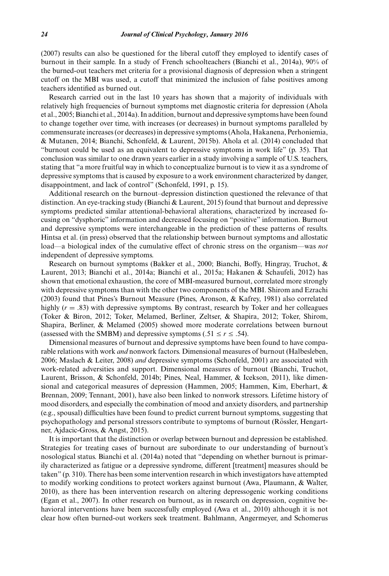(2007) results can also be questioned for the liberal cutoff they employed to identify cases of burnout in their sample. In a study of French schoolteachers (Bianchi et al., 2014a), 90% of the burned-out teachers met criteria for a provisional diagnosis of depression when a stringent cutoff on the MBI was used, a cutoff that minimized the inclusion of false positives among teachers identified as burned out.

Research carried out in the last 10 years has shown that a majority of individuals with relatively high frequencies of burnout symptoms met diagnostic criteria for depression (Ahola et al., 2005; Bianchi et al., 2014a). In addition, burnout and depressive symptoms have been found to change together over time, with increases (or decreases) in burnout symptoms paralleled by commensurate increases (or decreases) in depressive symptoms (Ahola, Hakanena, Perhoniemia, & Mutanen, 2014; Bianchi, Schonfeld, & Laurent, 2015b). Ahola et al. (2014) concluded that "burnout could be used as an equivalent to depressive symptoms in work life" (p. 35). That conclusion was similar to one drawn years earlier in a study involving a sample of U.S. teachers, stating that "a more fruitful way in which to conceptualize burnout is to view it as a syndrome of depressive symptoms that is caused by exposure to a work environment characterized by danger, disappointment, and lack of control" (Schonfeld, 1991, p. 15).

Additional research on the burnout–depression distinction questioned the relevance of that distinction. An eye-tracking study (Bianchi & Laurent, 2015) found that burnout and depressive symptoms predicted similar attentional-behavioral alterations, characterized by increased focusing on "dysphoric" information and decreased focusing on "positive" information. Burnout and depressive symptoms were interchangeable in the prediction of these patterns of results. Hintsa et al. (in press) observed that the relationship between burnout symptoms and allostatic load—a biological index of the cumulative effect of chronic stress on the organism—was *not* independent of depressive symptoms.

Research on burnout symptoms (Bakker et al., 2000; Bianchi, Boffy, Hingray, Truchot, & Laurent, 2013; Bianchi et al., 2014a; Bianchi et al., 2015a; Hakanen & Schaufeli, 2012) has shown that emotional exhaustion, the core of MBI-measured burnout, correlated more strongly with depressive symptoms than with the other two components of the MBI. Shirom and Ezrachi (2003) found that Pines's Burnout Measure (Pines, Aronson, & Kafrey, 1981) also correlated highly ( $r = .83$ ) with depressive symptoms. By contrast, research by Toker and her colleagues (Toker & Biron, 2012; Toker, Melamed, Berliner, Zeltser, & Shapira, 2012; Toker, Shirom, Shapira, Berliner, & Melamed (2005) showed more moderate correlations between burnout (assessed with the SMBM) and depressive symptoms (.51  $\le r \le .54$ ).

Dimensional measures of burnout and depressive symptoms have been found to have comparable relations with work *and* nonwork factors. Dimensional measures of burnout (Halbesleben, 2006; Maslach & Leiter, 2008) *and* depressive symptoms (Schonfeld, 2001) are associated with work-related adversities and support. Dimensional measures of burnout (Bianchi, Truchot, Laurent, Brisson, & Schonfeld, 2014b; Pines, Neal, Hammer, & Icekson, 2011), like dimensional and categorical measures of depression (Hammen, 2005; Hammen, Kim, Eberhart, & Brennan, 2009; Tennant, 2001), have also been linked to nonwork stressors. Lifetime history of mood disorders, and especially the combination of mood and anxiety disorders, and partnership (e.g., spousal) difficulties have been found to predict current burnout symptoms, suggesting that psychopathology and personal stressors contribute to symptoms of burnout (Rössler, Hengartner, Ajdacic-Gross, & Angst, 2015).

It is important that the distinction or overlap between burnout and depression be established. Strategies for treating cases of burnout are subordinate to our understanding of burnout's nosological status. Bianchi et al. (2014a) noted that "depending on whether burnout is primarily characterized as fatigue or a depressive syndrome, different [treatment] measures should be taken" (p. 310). There has been some intervention research in which investigators have attempted to modify working conditions to protect workers against burnout (Awa, Plaumann, & Walter, 2010), as there has been intervention research on altering depressogenic working conditions (Egan et al., 2007). In other research on burnout, as in research on depression, cognitive behavioral interventions have been successfully employed (Awa et al., 2010) although it is not clear how often burned-out workers seek treatment. Bahlmann, Angermeyer, and Schomerus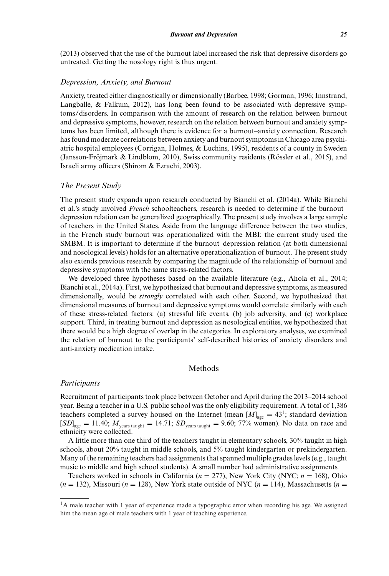(2013) observed that the use of the burnout label increased the risk that depressive disorders go untreated. Getting the nosology right is thus urgent.

#### *Depression, Anxiety, and Burnout*

Anxiety, treated either diagnostically or dimensionally (Barbee, 1998; Gorman, 1996; Innstrand, Langballe, & Falkum, 2012), has long been found to be associated with depressive symptoms/disorders. In comparison with the amount of research on the relation between burnout and depressive symptoms, however, research on the relation between burnout and anxiety symptoms has been limited, although there is evidence for a burnout–anxiety connection. Research has found moderate correlations between anxiety and burnout symptoms in Chicago area psychiatric hospital employees (Corrigan, Holmes, & Luchins, 1995), residents of a county in Sweden (Jansson-Fröjmark & Lindblom, 2010), Swiss community residents (Rössler et al., 2015), and Israeli army officers (Shirom & Ezrachi, 2003).

#### *The Present Study*

The present study expands upon research conducted by Bianchi et al. (2014a). While Bianchi et al.'s study involved *French* schoolteachers, research is needed to determine if the burnout– depression relation can be generalized geographically. The present study involves a large sample of teachers in the United States. Aside from the language difference between the two studies, in the French study burnout was operationalized with the MBI; the current study used the SMBM. It is important to determine if the burnout–depression relation (at both dimensional and nosological levels) holds for an alternative operationalization of burnout. The present study also extends previous research by comparing the magnitude of the relationship of burnout and depressive symptoms with the same stress-related factors.

We developed three hypotheses based on the available literature (e.g., Ahola et al., 2014; Bianchi et al., 2014a). First, we hypothesized that burnout and depressive symptoms, as measured dimensionally, would be *strongly* correlated with each other. Second, we hypothesized that dimensional measures of burnout and depressive symptoms would correlate similarly with each of these stress-related factors: (a) stressful life events, (b) job adversity, and (c) workplace support. Third, in treating burnout and depression as nosological entities, we hypothesized that there would be a high degree of overlap in the categories. In exploratory analyses, we examined the relation of burnout to the participants' self-described histories of anxiety disorders and anti-anxiety medication intake.

### Methods

#### *Participants*

Recruitment of participants took place between October and April during the 2013–2014 school year. Being a teacher in a U.S. public school was the only eligibility requirement. A total of 1,386 teachers completed a survey housed on the Internet (mean  $[M]_{\text{age}} = 43^{\text{1}}$ ; standard deviation  $[SD]_{\text{age}} = 11.40; M_{\text{years taught}} = 14.71; SD_{\text{years taught}} = 9.60; 77\%$  women). No data on race and ethnicity were collected.

A little more than one third of the teachers taught in elementary schools, 30% taught in high schools, about 20% taught in middle schools, and 5% taught kindergarten or prekindergarten. Many of the remaining teachers had assignments that spanned multiple grades levels (e.g., taught music to middle and high school students). A small number had administrative assignments.

Teachers worked in schools in California (*n* = 277), New York City (NYC; *n* = 168), Ohio  $(n = 132)$ , Missouri  $(n = 128)$ , New York state outside of NYC  $(n = 114)$ , Massachusetts  $(n = 128)$ 

<sup>&</sup>lt;sup>1</sup>A male teacher with 1 year of experience made a typographic error when recording his age. We assigned him the mean age of male teachers with 1 year of teaching experience.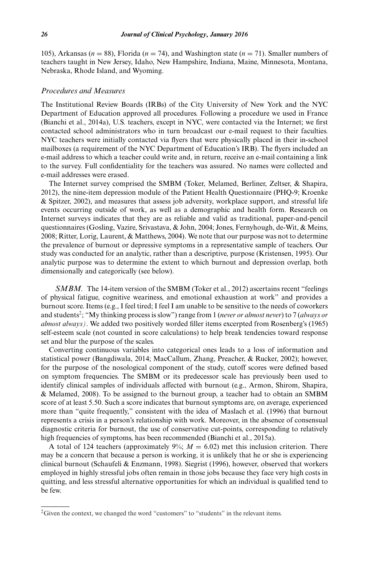105), Arkansas ( $n = 88$ ), Florida ( $n = 74$ ), and Washington state ( $n = 71$ ). Smaller numbers of teachers taught in New Jersey, Idaho, New Hampshire, Indiana, Maine, Minnesota, Montana, Nebraska, Rhode Island, and Wyoming.

#### *Procedures and Measures*

The Institutional Review Boards (IRBs) of the City University of New York and the NYC Department of Education approved all procedures. Following a procedure we used in France (Bianchi et al., 2014a), U.S. teachers, except in NYC, were contacted via the Internet; we first contacted school administrators who in turn broadcast our e-mail request to their faculties. NYC teachers were initially contacted via flyers that were physically placed in their in-school mailboxes (a requirement of the NYC Department of Education's IRB). The flyers included an e-mail address to which a teacher could write and, in return, receive an e-mail containing a link to the survey. Full confidentiality for the teachers was assured. No names were collected and e-mail addresses were erased.

The Internet survey comprised the SMBM (Toker, Melamed, Berliner, Zeltser, & Shapira, 2012), the nine-item depression module of the Patient Health Questionnaire (PHQ-9; Kroenke & Spitzer, 2002), and measures that assess job adversity, workplace support, and stressful life events occurring outside of work, as well as a demographic and health form. Research on Internet surveys indicates that they are as reliable and valid as traditional, paper-and-pencil questionnaires (Gosling, Vazire, Srivastava, & John, 2004; Jones, Fernyhough, de-Wit, & Meins, 2008; Ritter, Lorig, Laurent, & Matthews, 2004). We note that our purpose was not to determine the prevalence of burnout or depressive symptoms in a representative sample of teachers. Our study was conducted for an analytic, rather than a descriptive, purpose (Kristensen, 1995). Our analytic purpose was to determine the extent to which burnout and depression overlap, both dimensionally and categorically (see below).

*SMBM*. The 14-item version of the SMBM (Toker et al., 2012) ascertains recent "feelings of physical fatigue, cognitive weariness, and emotional exhaustion at work" and provides a burnout score. Items (e.g., I feel tired; I feel I am unable to be sensitive to the needs of coworkers and students2; "My thinking process is slow") range from 1 (*never or almost never*) to 7 (*always or almost always)*. We added two positively worded filler items excerpted from Rosenberg's (1965) self-esteem scale (not counted in score calculations) to help break tendencies toward response set and blur the purpose of the scales.

Converting continuous variables into categorical ones leads to a loss of information and statistical power (Bangdiwala, 2014; MacCallum, Zhang, Preacher, & Rucker, 2002); however, for the purpose of the nosological component of the study, cutoff scores were defined based on symptom frequencies. The SMBM or its predecessor scale has previously been used to identify clinical samples of individuals affected with burnout (e.g., Armon, Shirom, Shapira, & Melamed, 2008). To be assigned to the burnout group, a teacher had to obtain an SMBM score of at least 5.50. Such a score indicates that burnout symptoms are, on average, experienced more than "quite frequently," consistent with the idea of Maslach et al. (1996) that burnout represents a crisis in a person's relationship with work. Moreover, in the absence of consensual diagnostic criteria for burnout, the use of conservative cut-points, corresponding to relatively high frequencies of symptoms, has been recommended (Bianchi et al., 2015a).

A total of 124 teachers (approximately  $9\%$ ;  $M = 6.02$ ) met this inclusion criterion. There may be a concern that because a person is working, it is unlikely that he or she is experiencing clinical burnout (Schaufeli & Enzmann, 1998). Siegrist (1996), however, observed that workers employed in highly stressful jobs often remain in those jobs because they face very high costs in quitting, and less stressful alternative opportunities for which an individual is qualified tend to be few.

 $2$ Given the context, we changed the word "customers" to "students" in the relevant items.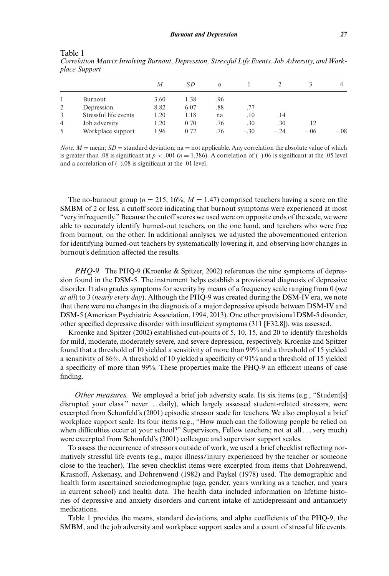|   |                       | M    | <i>SD</i> | $\alpha$ |        |        |        |        |
|---|-----------------------|------|-----------|----------|--------|--------|--------|--------|
|   | Burnout               | 3.60 | 1.38      | .96      |        |        |        |        |
| 2 | Depression            | 8.82 | 6.07      | .88      | .77    |        |        |        |
| 3 | Stressful life events | 1.20 | 1.18      | na       | .10    | .14    |        |        |
| 4 | Job adversity         | 1.20 | 0.70      | .76      | .30    | .30    | .12    |        |
|   | Workplace support     | 1.96 | 0.72      | .76      | $-.30$ | $-.24$ | $-.06$ | $-.08$ |

Table 1 *Correlation Matrix Involving Burnout, Depression, Stressful Life Events, Job Adversity, and Workplace Support*

*Note.*  $M =$  mean;  $SD =$  standard deviation; na = not applicable. Any correlation the absolute value of which is greater than .08 is significant at  $p < .001$  ( $n = 1,386$ ). A correlation of (–).06 is significant at the .05 level and a correlation of (–).08 is significant at the .01 level.

The no-burnout group ( $n = 215$ ; 16%;  $M = 1.47$ ) comprised teachers having a score on the SMBM of 2 or less, a cutoff score indicating that burnout symptoms were experienced at most "very infrequently." Because the cutoff scores we used were on opposite ends of the scale, we were able to accurately identify burned-out teachers, on the one hand, and teachers who were free from burnout, on the other. In additional analyses, we adjusted the abovementioned criterion for identifying burned-out teachers by systematically lowering it, and observing how changes in burnout's definition affected the results.

*PHQ-9.* The PHQ-9 (Kroenke & Spitzer, 2002) references the nine symptoms of depression found in the DSM-5. The instrument helps establish a provisional diagnosis of depressive disorder. It also grades symptoms for severity by means of a frequency scale ranging from 0 (*not at all*) to 3 (*nearly every day*). Although the PHQ-9 was created during the DSM-IV era, we note that there were no changes in the diagnosis of a major depressive episode between DSM-IV and DSM-5 (American Psychiatric Association, 1994, 2013). One other provisional DSM-5 disorder, other specified depressive disorder with insufficient symptoms (311 [F32.8]), was assessed.

Kroenke and Spitzer (2002) established cut-points of 5, 10, 15, and 20 to identify thresholds for mild, moderate, moderately severe, and severe depression, respectively. Kroenke and Spitzer found that a threshold of 10 yielded a sensitivity of more than 99% and a threshold of 15 yielded a sensitivity of 86%. A threshold of 10 yielded a specificity of 91% and a threshold of 15 yielded a specificity of more than 99%. These properties make the PHQ-9 an efficient means of case finding.

*Other measures.* We employed a brief job adversity scale. Its six items (e.g., "Student[s] disrupted your class." never . . . daily), which largely assessed student-related stressors, were excerpted from Schonfeld's (2001) episodic stressor scale for teachers. We also employed a brief workplace support scale. Its four items (e.g., "How much can the following people be relied on when difficulties occur at your school?" Supervisors, Fellow teachers; not at all . . . very much) were excerpted from Schonfeld's (2001) colleague and supervisor support scales.

To assess the occurrence of stressors outside of work, we used a brief checklist reflecting normatively stressful life events (e.g., major illness/injury experienced by the teacher or someone close to the teacher). The seven checklist items were excerpted from items that Dohrenwend, Krasnoff, Askenasy, and Dohrenwend (1982) and Paykel (1978) used. The demographic and health form ascertained sociodemographic (age, gender, years working as a teacher, and years in current school) and health data. The health data included information on lifetime histories of depressive and anxiety disorders and current intake of antidepressant and antianxiety medications.

Table 1 provides the means, standard deviations, and alpha coefficients of the PHQ-9, the SMBM, and the job adversity and workplace support scales and a count of stressful life events.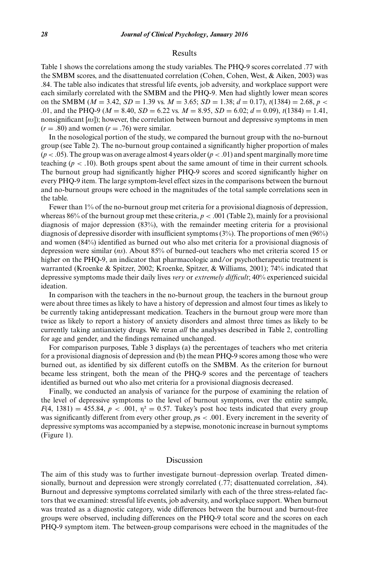#### Results

Table 1 shows the correlations among the study variables. The PHQ-9 scores correlated .77 with the SMBM scores, and the disattenuated correlation (Cohen, Cohen, West, & Aiken, 2003) was .84. The table also indicates that stressful life events, job adversity, and workplace support were each similarly correlated with the SMBM and the PHQ-9. Men had slightly lower mean scores on the SMBM ( $M = 3.42$ ,  $SD = 1.39$  vs.  $M = 3.65$ ;  $SD = 1.38$ ;  $d = 0.17$ ),  $t(1384) = 2.68$ ,  $p <$ .01, and the PHQ-9 ( $M = 8.40$ ,  $SD = 6.22$  vs.  $M = 8.95$ ,  $SD = 6.02$ ;  $d = 0.09$ ),  $t(1384) = 1.41$ , nonsignificant [*ns*]); however, the correlation between burnout and depressive symptoms in men  $(r = .80)$  and women  $(r = .76)$  were similar.

In the nosological portion of the study, we compared the burnout group with the no-burnout group (see Table 2). The no-burnout group contained a significantly higher proportion of males  $(p < .05)$ . The group was on average almost 4 years older  $(p < .01)$  and spent marginally more time teaching  $(p < .10)$ . Both groups spent about the same amount of time in their current schools. The burnout group had significantly higher PHQ-9 scores and scored significantly higher on every PHQ-9 item. The large symptom-level effect sizes in the comparisons between the burnout and no-burnout groups were echoed in the magnitudes of the total sample correlations seen in the table.

Fewer than 1% of the no-burnout group met criteria for a provisional diagnosis of depression, whereas  $86%$  of the burnout group met these criteria,  $p < .001$  (Table 2), mainly for a provisional diagnosis of major depression (83%), with the remainder meeting criteria for a provisional diagnosis of depressive disorder with insufficient symptoms (3%). The proportions of men (96%) and women (84%) identified as burned out who also met criteria for a provisional diagnosis of depression were similar (*ns*). About 85% of burned-out teachers who met criteria scored 15 or higher on the PHQ-9, an indicator that pharmacologic and/or psychotherapeutic treatment is warranted (Kroenke & Spitzer, 2002; Kroenke, Spitzer, & Williams, 2001); 74% indicated that depressive symptoms made their daily lives *very* or *extremely difficult*; 40% experienced suicidal ideation.

In comparison with the teachers in the no-burnout group, the teachers in the burnout group were about three times as likely to have a history of depression and almost four times as likely to be currently taking antidepressant medication. Teachers in the burnout group were more than twice as likely to report a history of anxiety disorders and almost three times as likely to be currently taking antianxiety drugs. We reran *all* the analyses described in Table 2, controlling for age and gender, and the findings remained unchanged.

For comparison purposes, Table 3 displays (a) the percentages of teachers who met criteria for a provisional diagnosis of depression and (b) the mean PHQ-9 scores among those who were burned out, as identified by six different cutoffs on the SMBM. As the criterion for burnout became less stringent, both the mean of the PHQ-9 scores and the percentage of teachers identified as burned out who also met criteria for a provisional diagnosis decreased.

Finally, we conducted an analysis of variance for the purpose of examining the relation of the level of depressive symptoms to the level of burnout symptoms, over the entire sample,  $F(4, 1381) = 455.84$ ,  $p < .001$ ,  $p^2 = 0.57$ . Tukey's post hoc tests indicated that every group was significantly different from every other group,  $ps < .001$ . Every increment in the severity of depressive symptoms was accompanied by a stepwise, monotonic increase in burnout symptoms (Figure 1).

#### Discussion

The aim of this study was to further investigate burnout–depression overlap. Treated dimensionally, burnout and depression were strongly correlated (.77; disattenuated correlation, .84). Burnout and depressive symptoms correlated similarly with each of the three stress-related factors that we examined: stressful life events, job adversity, and workplace support. When burnout was treated as a diagnostic category, wide differences between the burnout and burnout-free groups were observed, including differences on the PHQ-9 total score and the scores on each PHQ-9 symptom item. The between-group comparisons were echoed in the magnitudes of the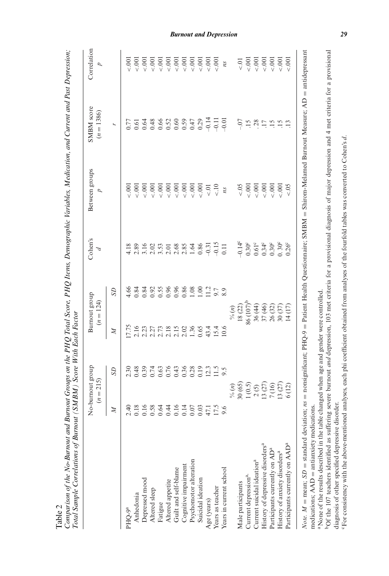|                                              | $(n = 215)$                | No-burnout group                                                                                                                                                                                                                                                                                                                                                                                                                  | Burnout group<br>$(n = 124)$        |                | Cohen's<br>Þ            | Between groups       | SMBM score<br>$(n = 1386)$ | Correlation<br>d |
|----------------------------------------------|----------------------------|-----------------------------------------------------------------------------------------------------------------------------------------------------------------------------------------------------------------------------------------------------------------------------------------------------------------------------------------------------------------------------------------------------------------------------------|-------------------------------------|----------------|-------------------------|----------------------|----------------------------|------------------|
|                                              | $\mathbb{N}$               | SD                                                                                                                                                                                                                                                                                                                                                                                                                                | Z                                   | SD             |                         |                      | r,                         |                  |
| PHO-9 <sup>a</sup>                           | $\frac{4}{2}$              | 2.30                                                                                                                                                                                                                                                                                                                                                                                                                              | 17.75                               | 4.66           |                         | $-0.001$             | 0.77                       | $-0.001$         |
| Anhedonia                                    | 0.18                       | 0.48                                                                                                                                                                                                                                                                                                                                                                                                                              | 2.16                                | 0.84           |                         | $-0.001$             |                            | $-0.001$         |
| Depressed mood                               |                            | 0.39                                                                                                                                                                                                                                                                                                                                                                                                                              | 2.23                                | 0.84           |                         | 001                  |                            | $\epsilon$ .001  |
| Altered sleep                                | 0.16                       |                                                                                                                                                                                                                                                                                                                                                                                                                                   |                                     | 0.92           |                         | $\frac{0}{2}$        |                            | $\frac{1}{2}$    |
| Fatigue                                      | 0.64                       | 0.74<br>0.63<br>0.76                                                                                                                                                                                                                                                                                                                                                                                                              | 2.27<br>2.73                        | 0.55           |                         | 5.001                |                            | $\approx 001$    |
| Altered appetite                             | 0.44                       |                                                                                                                                                                                                                                                                                                                                                                                                                                   |                                     | 0.96           |                         | $\frac{0}{\sqrt{2}}$ |                            | $\overline{0}$   |
| Guilt and self-blame                         |                            | 0.43                                                                                                                                                                                                                                                                                                                                                                                                                              | $2.18$<br>$2.15$                    | 0.96           |                         | 5001                 |                            | $\leq 0.001$     |
| Cognitive impairment                         | $0.14$<br>$0.06$<br>$0.06$ | 0.36                                                                                                                                                                                                                                                                                                                                                                                                                              | 2.02                                | 0.86           |                         | 5001                 |                            | $\overline{0}$   |
| Psychomotor alteration                       |                            | 0.28                                                                                                                                                                                                                                                                                                                                                                                                                              | 1.36                                | 0.08           | 1.64<br>0.86            | 5001                 |                            | $\leq$ .001      |
| Suicidal ideation                            |                            | 0.19                                                                                                                                                                                                                                                                                                                                                                                                                              | 0.65                                | S.             |                         | $\overline{0}$       |                            | $\overline{0}$   |
| Age (years)                                  | 47.1                       | 12.3                                                                                                                                                                                                                                                                                                                                                                                                                              |                                     | $\frac{12}{1}$ | $-0.31$                 | $\overline{0}$       | $-0.14$                    | $\overline{0}$   |
| Years as teacher                             | 17.5                       | 11.5                                                                                                                                                                                                                                                                                                                                                                                                                              | 43.4<br>15.4                        | 9.7            | $-0.15$                 | $\frac{10}{x}$       | $-0.11$                    | $\overline{0}$   |
| Years in current school                      |                            |                                                                                                                                                                                                                                                                                                                                                                                                                                   | 10.6                                |                | 0.11                    | ns                   | $-0.01$                    | ns               |
|                                              |                            |                                                                                                                                                                                                                                                                                                                                                                                                                                   | $\% (n)$                            |                |                         |                      |                            |                  |
| Male participants                            |                            | $\begin{array}{c} \frac{\sqrt{6}}{8} & \frac{\sqrt{6}}{8} \\ 1 & \frac{\sqrt{6}}{2} \\ 1 & \frac{\sqrt{2}}{2} \\ 1 & \frac{\sqrt{2}}{2} \\ 1 & \frac{\sqrt{2}}{2} \\ 1 & \frac{\sqrt{2}}{2} \\ 1 & \frac{\sqrt{2}}{2} \\ 1 & \frac{\sqrt{2}}{2} \\ 1 & \frac{\sqrt{2}}{2} \\ 1 & \frac{\sqrt{2}}{2} \\ 1 & \frac{\sqrt{2}}{2} \\ 1 & \frac{\sqrt{2}}{2} \\ 1 & \frac{\sqrt{2}}{2} \\ 1 & \frac{\sqrt{2}}{2} \\ 1 & \frac{\sqrt{2$ | $18(22)$<br>86 $(107)$ <sup>b</sup> |                | $-0.14^{\circ}$         | $\leq 0.5$           | $-0.07$                    | $\overline{C}$   |
| Current depression <sup>a,</sup>             |                            |                                                                                                                                                                                                                                                                                                                                                                                                                                   |                                     |                | $0.30^{\circ}$          | 5001                 | $\ddot{15}$                | $\leq 001$       |
| Current suicidal ideation <sup>a</sup>       |                            |                                                                                                                                                                                                                                                                                                                                                                                                                                   |                                     |                | $0.61^{\circ}$<br>0.34° | 5001                 | .28                        | $\overline{0}$   |
| History of depressive disorders <sup>a</sup> |                            |                                                                                                                                                                                                                                                                                                                                                                                                                                   |                                     |                |                         | < .001               | $\overline{17}$            | < .001           |
| Participants currently on AD <sup>a</sup>    |                            | 7(16)                                                                                                                                                                                                                                                                                                                                                                                                                             | 36 (44)<br>37 (46)<br>26 (32)       |                | $0.30^{\circ}$          | $\frac{0}{\sqrt{2}}$ | $\overline{15}$            | $\leq 0.001$     |
| History of anxiety disorders <sup>a</sup>    |                            | 13(27)                                                                                                                                                                                                                                                                                                                                                                                                                            | 30 (37)                             |                | 0.30 <sup>c</sup>       | 5001                 | $\overline{15}$            | $_{0.001}$       |
| Participants currently on AAD <sup>a</sup>   |                            | 6 (12)                                                                                                                                                                                                                                                                                                                                                                                                                            | 14(17)                              |                | 0.26 <sup>c</sup>       | $\leq 0.5$           |                            | 5001             |

Comparison of the No-Burnout and Burnout Groups on the PHQ Total Score, PHQ Items, Demographic Variables, Medication, and Current and Past Depression; Comparison of the No-Burnout and Burnout Groups on the PHQ Total Score, PHQ Items, Demographic Variables, Medication, and Current and Past Depression;

Table 2

 Shirom-Melamed Burnout Measure; AD Patient Health Questionnaire; SMBM aNone of the results described in the table changed when age and gender were controlled. aNone of the results described in the table changed when age and gender were controlled. nonsignificant; PHQ-9 standard deviation; *ns* medications;  $AAD =$  antianxiety medications. antianxiety medications. mean; *SD* medications; AAD

bOf the 107 teachers identified as suffering severe burnout and depression, 103 met criteria for a provisional diagnosis of major depression and 4 met criteria for a provisional bOf the 107 teachers identified as suffering severe burnout *and* depression, 103 met criteria for a provisional diagnosis of major depression and 4 met criteria for a provisional diagnosis of other specified depressive disorder. diagnosis of other specified depressive disorder.

For consistency with the above-mentioned analyses, each phi coefficient obtained from analyses of the fourfold tables was converted to Cohen's d. cFor consistency with the above-mentioned analyses, each phi coefficient obtained from analyses of the fourfold tables was converted to Cohen's *d*.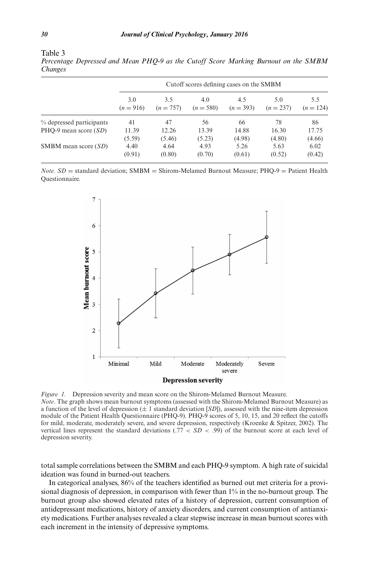| ۰.<br>۰.<br>۰,<br>i |  |  |
|---------------------|--|--|
|                     |  |  |

|                          | Cutoff scores defining cases on the SMBM |                    |                    |                    |                    |                    |  |  |
|--------------------------|------------------------------------------|--------------------|--------------------|--------------------|--------------------|--------------------|--|--|
|                          | 3.0<br>$(n=916)$                         | 3.5<br>$(n = 757)$ | 4.0<br>$(n = 580)$ | 4.5<br>$(n = 393)$ | 5.0<br>$(n = 237)$ | 5.5<br>$(n = 124)$ |  |  |
| % depressed participants | 41                                       | 47                 | 56                 | 66                 | 78                 | 86                 |  |  |
| PHO-9 mean score $(SD)$  | 11.39                                    | 12.26              | 13.39              | 14.88              | 16.30              | 17.75              |  |  |
|                          | (5.59)                                   | (5.46)             | (5.23)             | (4.98)             | (4.80)             | (4.66)             |  |  |
| SMBM mean score $(SD)$   | 4.40<br>(0.91)                           | 4.64<br>(0.80)     | 4.93<br>(0.70)     | 5.26<br>(0.61)     | 5.63<br>(0.52)     | 6.02<br>(0.42)     |  |  |

Table 3 *Percentage Depressed and Mean PHQ-9 as the Cutoff Score Marking Burnout on the SMBM Changes*

*Note.*  $SD$  = standard deviation;  $SMBM$  = Shirom-Melamed Burnout Measure;  $PHO-9$  = Patient Health Questionnaire.



*Figure 1.* Depression severity and mean score on the Shirom-Melamed Burnout Measure. *Note*. The graph shows mean burnout symptoms (assessed with the Shirom-Melamed Burnout Measure) as a function of the level of depression (± 1 standard deviation [*SD*]), assessed with the nine-item depression module of the Patient Health Questionnaire (PHQ-9). PHQ-9 scores of 5, 10, 15, and 20 reflect the cutoffs for mild, moderate, moderately severe, and severe depression, respectively (Kroenke & Spitzer, 2002). The vertical lines represent the standard deviations  $(0.77 \le SD < 0.99)$  of the burnout score at each level of depression severity.

total sample correlations between the SMBM and each PHQ-9 symptom. A high rate of suicidal ideation was found in burned-out teachers.

In categorical analyses, 86% of the teachers identified as burned out met criteria for a provisional diagnosis of depression, in comparison with fewer than 1% in the no-burnout group. The burnout group also showed elevated rates of a history of depression, current consumption of antidepressant medications, history of anxiety disorders, and current consumption of antianxiety medications. Further analyses revealed a clear stepwise increase in mean burnout scores with each increment in the intensity of depressive symptoms.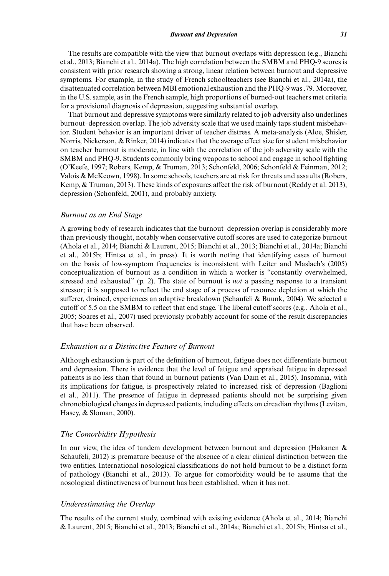The results are compatible with the view that burnout overlaps with depression (e.g., Bianchi et al., 2013; Bianchi et al., 2014a). The high correlation between the SMBM and PHQ-9 scores is consistent with prior research showing a strong, linear relation between burnout and depressive symptoms. For example, in the study of French schoolteachers (see Bianchi et al., 2014a), the disattenuated correlation between MBI emotional exhaustion and the PHQ-9 was .79. Moreover, in the U.S. sample, as in the French sample, high proportions of burned-out teachers met criteria for a provisional diagnosis of depression, suggesting substantial overlap.

That burnout and depressive symptoms were similarly related to job adversity also underlines burnout–depression overlap. The job adversity scale that we used mainly taps student misbehavior. Student behavior is an important driver of teacher distress. A meta-analysis (Aloe, Shisler, Norris, Nickerson, & Rinker, 2014) indicates that the average effect size for student misbehavior on teacher burnout is moderate, in line with the correlation of the job adversity scale with the SMBM and PHQ-9. Students commonly bring weapons to school and engage in school fighting (O'Keefe, 1997; Robers, Kemp, & Truman, 2013; Schonfeld, 2006; Schonfeld & Feinman, 2012; Valois & McKeown, 1998). In some schools, teachers are at risk for threats and assaults (Robers, Kemp, & Truman, 2013). These kinds of exposures affect the risk of burnout (Reddy et al. 2013), depression (Schonfeld, 2001), and probably anxiety.

#### *Burnout as an End Stage*

A growing body of research indicates that the burnout–depression overlap is considerably more than previously thought, notably when conservative cutoff scores are used to categorize burnout (Ahola et al., 2014; Bianchi & Laurent, 2015; Bianchi et al., 2013; Bianchi et al., 2014a; Bianchi et al., 2015b; Hintsa et al., in press). It is worth noting that identifying cases of burnout on the basis of low-symptom frequencies is inconsistent with Leiter and Maslach's (2005) conceptualization of burnout as a condition in which a worker is "constantly overwhelmed, stressed and exhausted" (p. 2). The state of burnout is *not* a passing response to a transient stressor; it is supposed to reflect the end stage of a process of resource depletion at which the sufferer, drained, experiences an adaptive breakdown (Schaufeli & Buunk, 2004). We selected a cutoff of 5.5 on the SMBM to reflect that end stage. The liberal cutoff scores (e.g., Ahola et al., 2005; Soares et al., 2007) used previously probably account for some of the result discrepancies that have been observed.

#### *Exhaustion as a Distinctive Feature of Burnout*

Although exhaustion is part of the definition of burnout, fatigue does not differentiate burnout and depression. There is evidence that the level of fatigue and appraised fatigue in depressed patients is no less than that found in burnout patients (Van Dam et al., 2015). Insomnia, with its implications for fatigue, is prospectively related to increased risk of depression (Baglioni et al., 2011). The presence of fatigue in depressed patients should not be surprising given chronobiological changes in depressed patients, including effects on circadian rhythms (Levitan, Hasey, & Sloman, 2000).

#### *The Comorbidity Hypothesis*

In our view, the idea of tandem development between burnout and depression (Hakanen & Schaufeli, 2012) is premature because of the absence of a clear clinical distinction between the two entities. International nosological classifications do not hold burnout to be a distinct form of pathology (Bianchi et al., 2013). To argue for comorbidity would be to assume that the nosological distinctiveness of burnout has been established, when it has not.

#### *Underestimating the Overlap*

The results of the current study, combined with existing evidence (Ahola et al., 2014; Bianchi & Laurent, 2015; Bianchi et al., 2013; Bianchi et al., 2014a; Bianchi et al., 2015b; Hintsa et al.,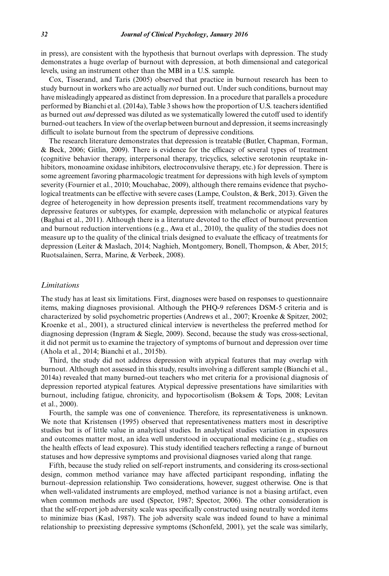in press), are consistent with the hypothesis that burnout overlaps with depression. The study demonstrates a huge overlap of burnout with depression, at both dimensional and categorical levels, using an instrument other than the MBI in a U.S. sample.

Cox, Tisserand, and Taris (2005) observed that practice in burnout research has been to study burnout in workers who are actually *not* burned out. Under such conditions, burnout may have misleadingly appeared as distinct from depression. In a procedure that parallels a procedure performed by Bianchi et al. (2014a), Table 3 shows how the proportion of U.S. teachers identified as burned out *and* depressed was diluted as we systematically lowered the cutoff used to identify burned-out teachers. In view of the overlap between burnout and depression, it seems increasingly difficult to isolate burnout from the spectrum of depressive conditions.

The research literature demonstrates that depression is treatable (Butler, Chapman, Forman, & Beck, 2006; Gitlin, 2009). There is evidence for the efficacy of several types of treatment (cognitive behavior therapy, interpersonal therapy, tricyclics, selective serotonin reuptake inhibitors, monoamine oxidase inhibitors, electroconvulsive therapy, etc.) for depression. There is some agreement favoring pharmacologic treatment for depressions with high levels of symptom severity (Fournier et al., 2010; Mouchabac, 2009), although there remains evidence that psychological treatments can be effective with severe cases (Lampe, Coulston, & Berk, 2013). Given the degree of heterogeneity in how depression presents itself, treatment recommendations vary by depressive features or subtypes, for example, depression with melancholic or atypical features (Baghai et al., 2011). Although there is a literature devoted to the effect of burnout prevention and burnout reduction interventions (e.g., Awa et al., 2010), the quality of the studies does not measure up to the quality of the clinical trials designed to evaluate the efficacy of treatments for depression (Leiter & Maslach, 2014; Naghieh, Montgomery, Bonell, Thompson, & Aber, 2015; Ruotsalainen, Serra, Marine, & Verbeek, 2008).

#### *Limitations*

The study has at least six limitations. First, diagnoses were based on responses to questionnaire items, making diagnoses provisional. Although the PHQ-9 references DSM-5 criteria and is characterized by solid psychometric properties (Andrews et al., 2007; Kroenke & Spitzer, 2002; Kroenke et al., 2001), a structured clinical interview is nevertheless the preferred method for diagnosing depression (Ingram & Siegle, 2009). Second, because the study was cross-sectional, it did not permit us to examine the trajectory of symptoms of burnout and depression over time (Ahola et al., 2014; Bianchi et al., 2015b).

Third, the study did not address depression with atypical features that may overlap with burnout. Although not assessed in this study, results involving a different sample (Bianchi et al., 2014a) revealed that many burned-out teachers who met criteria for a provisional diagnosis of depression reported atypical features. Atypical depressive presentations have similarities with burnout, including fatigue, chronicity, and hypocortisolism (Boksem & Tops, 2008; Levitan et al., 2000).

Fourth, the sample was one of convenience. Therefore, its representativeness is unknown. We note that Kristensen (1995) observed that representativeness matters most in descriptive studies but is of little value in analytical studies. In analytical studies variation in exposures and outcomes matter most, an idea well understood in occupational medicine (e.g., studies on the health effects of lead exposure). This study identified teachers reflecting a range of burnout statuses and how depressive symptoms and provisional diagnoses varied along that range.

Fifth, because the study relied on self-report instruments, and considering its cross-sectional design, common method variance may have affected participant responding, inflating the burnout–depression relationship. Two considerations, however, suggest otherwise. One is that when well-validated instruments are employed, method variance is not a biasing artifact, even when common methods are used (Spector, 1987; Spector, 2006). The other consideration is that the self-report job adversity scale was specifically constructed using neutrally worded items to minimize bias (Kasl, 1987). The job adversity scale was indeed found to have a minimal relationship to preexisting depressive symptoms (Schonfeld, 2001), yet the scale was similarly,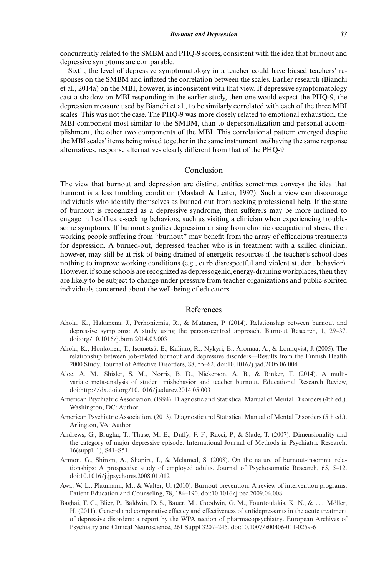concurrently related to the SMBM and PHQ-9 scores, consistent with the idea that burnout and depressive symptoms are comparable.

Sixth, the level of depressive symptomatology in a teacher could have biased teachers' responses on the SMBM and inflated the correlation between the scales. Earlier research (Bianchi et al., 2014a) on the MBI, however, is inconsistent with that view. If depressive symptomatology cast a shadow on MBI responding in the earlier study, then one would expect the PHQ-9, the depression measure used by Bianchi et al., to be similarly correlated with each of the three MBI scales. This was not the case. The PHQ-9 was more closely related to emotional exhaustion, the MBI component most similar to the SMBM, than to depersonalization and personal accomplishment, the other two components of the MBI. This correlational pattern emerged despite the MBI scales' items being mixed together in the same instrument *and* having the same response alternatives, response alternatives clearly different from that of the PHQ-9.

#### Conclusion

The view that burnout and depression are distinct entities sometimes conveys the idea that burnout is a less troubling condition (Maslach & Leiter, 1997). Such a view can discourage individuals who identify themselves as burned out from seeking professional help. If the state of burnout is recognized as a depressive syndrome, then sufferers may be more inclined to engage in healthcare-seeking behaviors, such as visiting a clinician when experiencing troublesome symptoms. If burnout signifies depression arising from chronic occupational stress, then working people suffering from "burnout" may benefit from the array of efficacious treatments for depression. A burned-out, depressed teacher who is in treatment with a skilled clinician, however, may still be at risk of being drained of energetic resources if the teacher's school does nothing to improve working conditions (e.g., curb disrespectful and violent student behavior). However, if some schools are recognized as depressogenic, energy-draining workplaces, then they are likely to be subject to change under pressure from teacher organizations and public-spirited individuals concerned about the well-being of educators.

#### References

- Ahola, K., Hakanena, J., Perhoniemia, R., & Mutanen, P. (2014). Relationship between burnout and depressive symptoms: A study using the person-centred approach. Burnout Research, 1, 29–37. doi:org/10.1016/j.burn.2014.03.003
- Ahola, K., Honkonen, T., Isometsa, E., Kalimo, R., Nykyri, E., Aromaa, A., & Lonnqvist, J. (2005). The ¨ relationship between job-related burnout and depressive disorders—Results from the Finnish Health 2000 Study. Journal of Affective Disorders, 88, 55–62. doi:10.1016/j.jad.2005.06.004
- Aloe, A. M., Shisler, S. M., Norris, B. D., Nickerson, A. B., & Rinker, T. (2014). A multivariate meta-analysis of student misbehavior and teacher burnout. Educational Research Review, doi:http://dx.doi.org/10.1016/j.edurev.2014.05.003
- American Psychiatric Association. (1994). Diagnostic and Statistical Manual of Mental Disorders (4th ed.). Washington, DC: Author.
- American Psychiatric Association. (2013). Diagnostic and Statistical Manual of Mental Disorders (5th ed.). Arlington, VA: Author.
- Andrews, G., Brugha, T., Thase, M. E., Duffy, F. F., Rucci, P., & Slade, T. (2007). Dimensionality and the category of major depressive episode. International Journal of Methods in Psychiatric Research, 16(suppl. 1), S41–S51.
- Armon, G., Shirom, A., Shapira, I., & Melamed, S. (2008). On the nature of burnout-insomnia relationships: A prospective study of employed adults. Journal of Psychosomatic Research, 65, 5–12. doi:10.1016/j.jpsychores.2008.01.012
- Awa, W. L., Plaumann, M., & Walter, U. (2010). Burnout prevention: A review of intervention programs. Patient Education and Counseling, 78, 184–190. doi:10.1016/j.pec.2009.04.008
- Baghai, T. C., Blier, P., Baldwin, D. S., Bauer, M., Goodwin, G. M., Fountoulakis, K. N., & ... Möller, H. (2011). General and comparative efficacy and effectiveness of antidepressants in the acute treatment of depressive disorders: a report by the WPA section of pharmacopsychiatry. European Archives of Psychiatry and Clinical Neuroscience, 261 Suppl 3207–245. doi:10.1007/s00406-011-0259-6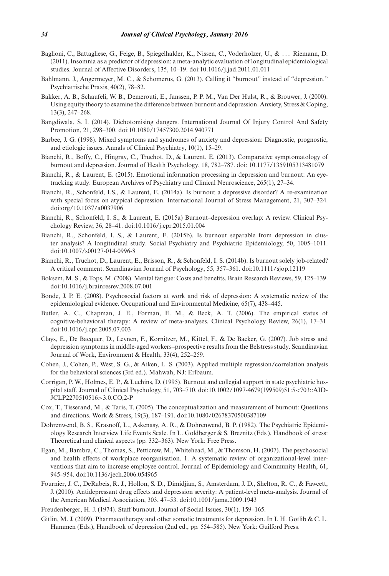- Baglioni, C., Battagliese, G., Feige, B., Spiegelhalder, K., Nissen, C., Voderholzer, U., & . . . Riemann, D. (2011). Insomnia as a predictor of depression: a meta-analytic evaluation of longitudinal epidemiological studies. Journal of Affective Disorders, 135, 10–19. doi:10.1016/j.jad.2011.01.011
- Bahlmann, J., Angermeyer, M. C., & Schomerus, G. (2013). Calling it "burnout" instead of "depression." Psychiatrische Praxis, 40(2), 78–82.
- Bakker, A. B., Schaufeli, W. B., Demerouti, E., Janssen, P. P. M., Van Der Hulst, R., & Brouwer, J. (2000). Using equity theory to examine the difference between burnout and depression. Anxiety, Stress & Coping, 13(3), 247–268.
- Bangdiwala, S. I. (2014). Dichotomising dangers. International Journal Of Injury Control And Safety Promotion, 21, 298–300. doi:10.1080/17457300.2014.940771
- Barbee, J. G. (1998). Mixed symptoms and syndromes of anxiety and depression: Diagnostic, prognostic, and etiologic issues. Annals of Clinical Psychiatry, 10(1), 15–29.
- Bianchi, R., Boffy, C., Hingray, C., Truchot, D., & Laurent, E. (2013). Comparative symptomatology of burnout and depression. Journal of Health Psychology, 18, 782–787. doi: 10.1177/1359105313481079
- Bianchi, R., & Laurent, E. (2015). Emotional information processing in depression and burnout: An eyetracking study. European Archives of Psychiatry and Clinical Neuroscience, 265(1), 27–34.
- Bianchi, R., Schonfeld, I.S., & Laurent, E. (2014a). Is burnout a depressive disorder? A re-examination with special focus on atypical depression. International Journal of Stress Management, 21, 307–324. doi:org/10.1037/a0037906
- Bianchi, R., Schonfeld, I. S., & Laurent, E. (2015a) Burnout–depression overlap: A review. Clinical Psychology Review, 36, 28–41. doi:10.1016/j.cpr.2015.01.004
- Bianchi, R., Schonfeld, I. S., & Laurent, E. (2015b). Is burnout separable from depression in cluster analysis? A longitudinal study. Social Psychiatry and Psychiatric Epidemiology, 50, 1005–1011. doi:10.1007/s00127-014-0996-8
- Bianchi, R., Truchot, D., Laurent, E., Brisson, R., & Schonfeld, I. S. (2014b). Is burnout solely job-related? A critical comment. Scandinavian Journal of Psychology, 55, 357–361. doi:10.1111/sjop.12119
- Boksem, M. S., & Tops, M. (2008). Mental fatigue: Costs and benefits. Brain Research Reviews, 59, 125–139. doi:10.1016/j.brainresrev.2008.07.001
- Bonde, J. P. E. (2008). Psychosocial factors at work and risk of depression: A systematic review of the epidemiological evidence. Occupational and Environmental Medicine, 65(7), 438–445.
- Butler, A. C., Chapman, J. E., Forman, E. M., & Beck, A. T. (2006). The empirical status of cognitive-behavioral therapy: A review of meta-analyses. Clinical Psychology Review, 26(1), 17–31. doi:10.1016/j.cpr.2005.07.003
- Clays, E., De Bacquer, D., Leynen, F., Kornitzer, M., Kittel, F., & De Backer, G. (2007). Job stress and depression symptoms in middle-aged workers–prospective results from the Belstress study. Scandinavian Journal of Work, Environment & Health, 33(4), 252–259.
- Cohen, J., Cohen, P., West, S. G., & Aiken, L. S. (2003). Applied multiple regression/correlation analysis for the behavioral sciences (3rd ed.). Mahwah, NJ: Erlbaum.
- Corrigan, P. W., Holmes, E. P., & Luchins, D. (1995). Burnout and collegial support in state psychiatric hospital staff. Journal of Clinical Psychology, 51, 703–710. doi:10.1002/1097-4679(199509)51:5<703::AID-JCLP2270510516>3.0.CO;2-P
- Cox, T., Tisserand, M., & Taris, T. (2005). The conceptualization and measurement of burnout: Questions and directions. Work & Stress, 19(3), 187–191. doi:10.1080/02678370500387109
- Dohrenwend, B. S., Krasnoff, L., Askenasy, A. R., & Dohrenwend, B. P. (1982). The Psychiatric Epidemiology Research Interview Life Events Scale. In L. Goldberger & S. Breznitz (Eds.), Handbook of stress: Theoretical and clinical aspects (pp. 332–363). New York: Free Press.
- Egan, M., Bambra, C., Thomas, S., Petticrew, M., Whitehead, M., & Thomson, H. (2007). The psychosocial and health effects of workplace reorganisation. 1. A systematic review of organizational-level interventions that aim to increase employee control. Journal of Epidemiology and Community Health, 61, 945–954. doi:10.1136/jech.2006.054965
- Fournier, J. C., DeRubeis, R. J., Hollon, S. D., Dimidjian, S., Amsterdam, J. D., Shelton, R. C., & Fawcett, J. (2010). Antidepressant drug effects and depression severity: A patient-level meta-analysis. Journal of the American Medical Association, 303, 47–53. doi:10.1001/jama.2009.1943
- Freudenberger, H. J. (1974). Staff burnout. Journal of Social Issues, 30(1), 159–165.
- Gitlin, M. J. (2009). Pharmacotherapy and other somatic treatments for depression. In I. H. Gotlib & C. L. Hammen (Eds.), Handbook of depression (2nd ed., pp. 554–585). New York: Guilford Press.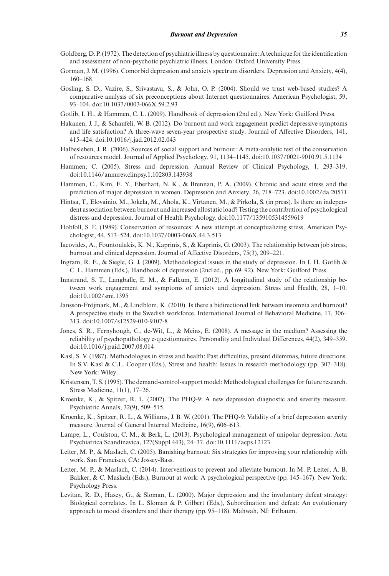- Goldberg, D. P. (1972). The detection of psychiatric illness by questionnaire: A technique for the identification and assessment of non-psychotic psychiatric illness. London: Oxford University Press.
- Gorman, J. M. (1996). Comorbid depression and anxiety spectrum disorders. Depression and Anxiety, 4(4), 160–168.
- Gosling, S. D., Vazire, S., Srivastava, S., & John, O. P. (2004). Should we trust web-based studies? A comparative analysis of six preconceptions about Internet questionnaires. American Psychologist, 59, 93–104. doi:10.1037/0003-066X.59.2.93
- Gotlib, I. H., & Hammen, C. L. (2009). Handbook of depression (2nd ed.). New York: Guilford Press.
- Hakanen, J. J., & Schaufeli, W. B. (2012). Do burnout and work engagement predict depressive symptoms and life satisfaction? A three-wave seven-year prospective study. Journal of Affective Disorders, 141, 415–424. doi:10.1016/j.jad.2012.02.043
- Halbesleben, J. R. (2006). Sources of social support and burnout: A meta-analytic test of the conservation of resources model. Journal of Applied Psychology, 91, 1134–1145. doi:10.1037/0021-9010.91.5.1134
- Hammen, C. (2005). Stress and depression. Annual Review of Clinical Psychology, 1, 293–319. doi:10.1146/annurev.clinpsy.1.102803.143938
- Hammen, C., Kim, E. Y., Eberhart, N. K., & Brennan, P. A. (2009). Chronic and acute stress and the prediction of major depression in women. Depression and Anxiety, 26, 718–723. doi:10.1002/da.20571
- Hintsa, T., Elovainio, M., Jokela, M., Ahola, K., Virtanen, M., & Pirkola, S. (in press). Is there an independent association between burnout and increased allostatic load? Testing the contribution of psychological distress and depression. Journal of Health Psychology. doi:10.1177/1359105314559619
- Hobfoll, S. E. (1989). Conservation of resources: A new attempt at conceptualizing stress. American Psychologist, 44, 513–524. doi:10.1037/0003-066X.44.3.513
- Iacovides, A., Fountoulakis, K. N., Kaprinis, S., & Kaprinis, G. (2003). The relationship between job stress, burnout and clinical depression. Journal of Affective Disorders, 75(3), 209–221.
- Ingram, R. E., & Siegle, G. J. (2009). Methodological issues in the study of depression. In I. H. Gotlib & C. L. Hammen (Eds.), Handbook of depression (2nd ed., pp. 69–92). New York: Guilford Press.
- Innstrand, S. T., Langballe, E. M., & Falkum, E. (2012). A longitudinal study of the relationship between work engagement and symptoms of anxiety and depression. Stress and Health, 28, 1–10. doi:10.1002/smi.1395
- Jansson-Fröjmark, M., & Lindblom, K. (2010). Is there a bidirectional link between insomnia and burnout? A prospective study in the Swedish workforce. International Journal of Behavioral Medicine, 17, 306– 313. doi:10.1007/s12529-010-9107-8
- Jones, S. R., Fernyhough, C., de-Wit, L., & Meins, E. (2008). A message in the medium? Assessing the reliability of psychopathology e-questionnaires. Personality and Individual Differences, 44(2), 349–359. doi:10.1016/j.paid.2007.08.014
- Kasl, S. V. (1987). Methodologies in stress and health: Past difficulties, present dilemmas, future directions. In S.V. Kasl & C.L. Cooper (Eds.), Stress and health: Issues in research methodology (pp. 307–318). New York: Wiley.
- Kristensen, T. S. (1995). The demand-control-support model: Methodological challenges for future research. Stress Medicine, 11(1), 17–26.
- Kroenke, K., & Spitzer, R. L. (2002). The PHQ-9: A new depression diagnostic and severity measure. Psychiatric Annals, 32(9), 509–515.
- Kroenke, K., Spitzer, R. L., & Williams, J. B. W. (2001). The PHQ-9: Validity of a brief depression severity measure. Journal of General Internal Medicine, 16(9), 606–613.
- Lampe, L., Coulston, C. M., & Berk, L. (2013). Psychological management of unipolar depression. Acta Psychiatrica Scandinavica, 127(Suppl 443), 24–37. doi:10.1111/acps.12123
- Leiter, M. P., & Maslach, C. (2005). Banishing burnout: Six strategies for improving your relationship with work. San Francisco, CA: Jossey-Bass.
- Leiter, M. P., & Maslach, C. (2014). Interventions to prevent and alleviate burnout. In M. P. Leiter, A. B. Bakker, & C. Maslach (Eds.), Burnout at work: A psychological perspective (pp. 145–167). New York: Psychology Press.
- Levitan, R. D., Hasey, G., & Sloman, L. (2000). Major depression and the involuntary defeat strategy: Biological correlates. In L. Sloman & P. Gilbert (Eds.), Subordination and defeat: An evolutionary approach to mood disorders and their therapy (pp. 95–118). Mahwah, NJ: Erlbaum.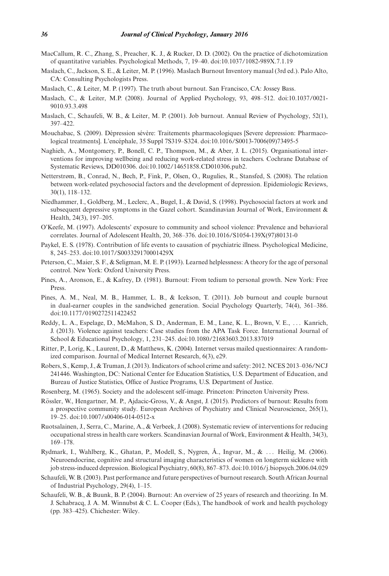- MacCallum, R. C., Zhang, S., Preacher, K. J., & Rucker, D. D. (2002). On the practice of dichotomization of quantitative variables. Psychological Methods, 7, 19–40. doi:10.1037/1082-989X.7.1.19
- Maslach, C., Jackson, S. E., & Leiter, M. P. (1996). Maslach Burnout Inventory manual (3rd ed.). Palo Alto, CA: Consulting Psychologists Press.
- Maslach, C., & Leiter, M. P. (1997). The truth about burnout. San Francisco, CA: Jossey Bass.
- Maslach, C., & Leiter, M.P. (2008). Journal of Applied Psychology, 93, 498–512. doi:10.1037/0021- 9010.93.3.498
- Maslach, C., Schaufeli, W. B., & Leiter, M. P. (2001). Job burnout. Annual Review of Psychology, 52(1), 397–422.
- Mouchabac, S. (2009). Dépression sévère: Traitements pharmacologiques [Severe depression: Pharmacological treatments]. L'encephale, 35 Suppl 7S319–S324. doi:10.1016/S0013-7006(09)73495-5 ´
- Naghieh, A., Montgomery, P., Bonell, C. P., Thompson, M., & Aber, J. L. (2015). Organisational interventions for improving wellbeing and reducing work-related stress in teachers. Cochrane Database of Systematic Reviews, DD010306. doi:10.1002/14651858.CD010306.pub2.
- Netterstrøm, B., Conrad, N., Bech, P., Fink, P., Olsen, O., Rugulies, R., Stansfed, S. (2008). The relation between work-related psychosocial factors and the development of depression. Epidemiologic Reviews, 30(1), 118–132.
- Niedhammer, I., Goldberg, M., Leclerc, A., Bugel, I., & David, S. (1998). Psychosocial factors at work and subsequent depressive symptoms in the Gazel cohort. Scandinavian Journal of Work, Environment & Health, 24(3), 197–205.
- O'Keefe, M. (1997). Adolescents' exposure to community and school violence: Prevalence and behavioral correlates. Journal of Adolescent Health, 20, 368–376. doi:10.1016/S1054-139X(97)80131-0
- Paykel, E. S. (1978). Contribution of life events to causation of psychiatric illness. Psychological Medicine, 8, 245–253. doi:10.1017/S003329170001429X
- Peterson, C., Maier, S. F., & Seligman, M. E. P. (1993). Learned helplessness: A theory for the age of personal control. New York: Oxford University Press.
- Pines, A., Aronson, E., & Kafrey, D. (1981). Burnout: From tedium to personal growth. New York: Free Press.
- Pines, A. M., Neal, M. B., Hammer, L. B., & Icekson, T. (2011). Job burnout and couple burnout in dual-earner couples in the sandwiched generation. Social Psychology Quarterly, 74(4), 361–386. doi:10.1177/0190272511422452
- Reddy, L. A., Espelage, D., McMahon, S. D., Anderman, E. M., Lane, K. L., Brown, V. E., . . . Kanrich, J. (2013). Violence against teachers: Case studies from the APA Task Force. International Journal of School & Educational Psychology, 1, 231–245. doi:10.1080/21683603.2013.837019
- Ritter, P., Lorig, K., Laurent, D., & Matthews, K. (2004). Internet versus mailed questionnaires: A randomized comparison. Journal of Medical Internet Research, 6(3), e29.
- Robers, S., Kemp, J., & Truman, J. (2013). Indicators of school crime and safety: 2012. NCES 2013–036/NCJ 241446. Washington, DC: National Center for Education Statistics, U.S. Department of Education, and Bureau of Justice Statistics, Office of Justice Programs, U.S. Department of Justice.
- Rosenberg, M. (1965). Society and the adolescent self-image. Princeton: Princeton University Press.
- Rössler, W., Hengartner, M. P., Ajdacic-Gross, V., & Angst, J. (2015). Predictors of burnout: Results from a prospective community study. European Archives of Psychiatry and Clinical Neuroscience, 265(1), 19–25. doi:10.1007/s00406-014-0512-x
- Ruotsalainen, J., Serra, C., Marine, A., & Verbeek, J. (2008). Systematic review of interventions for reducing occupational stress in health care workers. Scandinavian Journal of Work, Environment & Health, 34(3), 169–178.
- Rydmark, I., Wahlberg, K., Ghatan, P., Modell, S., Nygren, Å., Ingvar, M., & ... Heilig, M. (2006). Neuroendocrine, cognitive and structural imaging characteristics of women on longterm sickleave with job stress-induced depression. Biological Psychiatry, 60(8), 867–873. doi:10.1016/j.biopsych.2006.04.029
- Schaufeli, W. B. (2003). Past performance and future perspectives of burnout research. South African Journal of Industrial Psychology, 29(4), 1–15.
- Schaufeli, W. B., & Buunk, B. P. (2004). Burnout: An overview of 25 years of research and theorizing. In M. J. Schabracq, J. A. M. Winnubst & C. L. Cooper (Eds.), The handbook of work and health psychology (pp. 383–425). Chichester: Wiley.